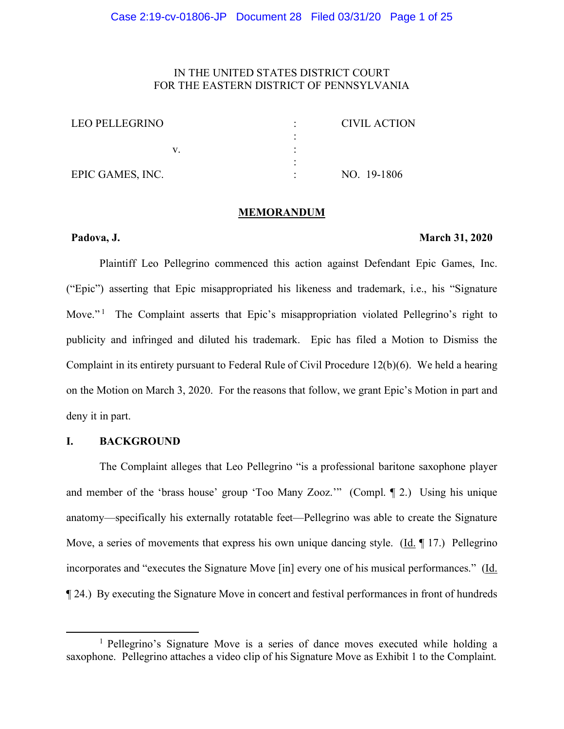# IN THE UNITED STATES DISTRICT COURT FOR THE EASTERN DISTRICT OF PENNSYLVANIA

| LEO PELLEGRINO   |  | CIVIL ACTION |
|------------------|--|--------------|
|                  |  |              |
|                  |  |              |
|                  |  |              |
| EPIC GAMES, INC. |  | NO. 19-1806  |

#### **MEMORANDUM**

# **Padova, J. March 31, 2020**

Plaintiff Leo Pellegrino commenced this action against Defendant Epic Games, Inc. ("Epic") asserting that Epic misappropriated his likeness and trademark, i.e., his "Signature Move."<sup>1</sup> The Complaint asserts that Epic's misappropriation violated Pellegrino's right to publicity and infringed and diluted his trademark. Epic has filed a Motion to Dismiss the Complaint in its entirety pursuant to Federal Rule of Civil Procedure 12(b)(6). We held a hearing on the Motion on March 3, 2020. For the reasons that follow, we grant Epic's Motion in part and deny it in part.

# **I. BACKGROUND**

l

The Complaint alleges that Leo Pellegrino "is a professional baritone saxophone player and member of the 'brass house' group 'Too Many Zooz.'" (Compl. ¶ 2.) Using his unique anatomy—specifically his externally rotatable feet—Pellegrino was able to create the Signature Move, a series of movements that express his own unique dancing style. (Id. ¶ 17.) Pellegrino incorporates and "executes the Signature Move [in] every one of his musical performances." (Id. ¶ 24.) By executing the Signature Move in concert and festival performances in front of hundreds

<sup>1</sup> Pellegrino's Signature Move is a series of dance moves executed while holding a saxophone. Pellegrino attaches a video clip of his Signature Move as Exhibit 1 to the Complaint.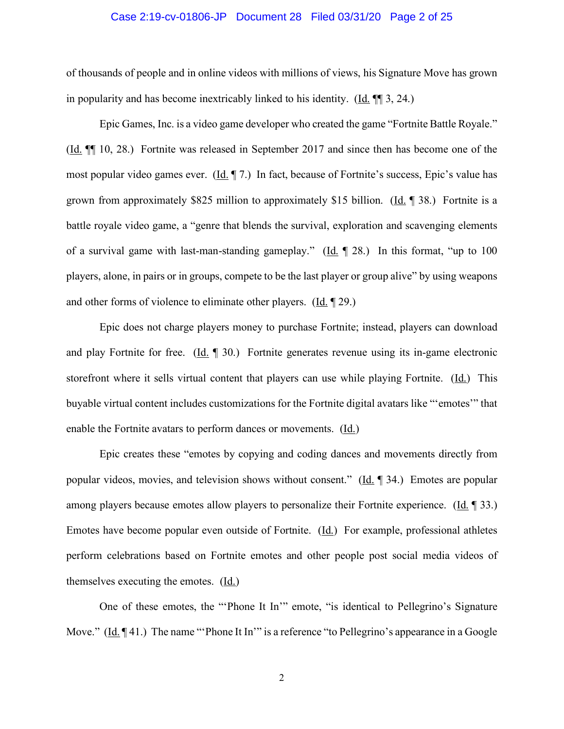#### Case 2:19-cv-01806-JP Document 28 Filed 03/31/20 Page 2 of 25

of thousands of people and in online videos with millions of views, his Signature Move has grown in popularity and has become inextricably linked to his identity. (Id. ¶¶ 3, 24.)

Epic Games, Inc. is a video game developer who created the game "Fortnite Battle Royale." (Id. ¶¶ 10, 28.) Fortnite was released in September 2017 and since then has become one of the most popular video games ever.  $(\underline{Id}, \P 7)$  In fact, because of Fortnite's success, Epic's value has grown from approximately \$825 million to approximately \$15 billion. (Id.  $\parallel$  38.) Fortnite is a battle royale video game, a "genre that blends the survival, exploration and scavenging elements of a survival game with last-man-standing gameplay." (Id. ¶ 28.) In this format, "up to 100 players, alone, in pairs or in groups, compete to be the last player or group alive" by using weapons and other forms of violence to eliminate other players. (Id. ¶ 29.)

Epic does not charge players money to purchase Fortnite; instead, players can download and play Fortnite for free. (Id. ¶ 30.) Fortnite generates revenue using its in-game electronic storefront where it sells virtual content that players can use while playing Fortnite. (Id.) This buyable virtual content includes customizations for the Fortnite digital avatars like "'emotes'" that enable the Fortnite avatars to perform dances or movements. (Id.)

Epic creates these "emotes by copying and coding dances and movements directly from popular videos, movies, and television shows without consent." (Id. ¶ 34.) Emotes are popular among players because emotes allow players to personalize their Fortnite experience. (Id. ¶ 33.) Emotes have become popular even outside of Fortnite. (Id.) For example, professional athletes perform celebrations based on Fortnite emotes and other people post social media videos of themselves executing the emotes.  $(\underline{Id})$ 

One of these emotes, the "'Phone It In'" emote, "is identical to Pellegrino's Signature Move."  $(\underline{Id}, \P 41)$  The name "'Phone It In'" is a reference "to Pellegrino's appearance in a Google

2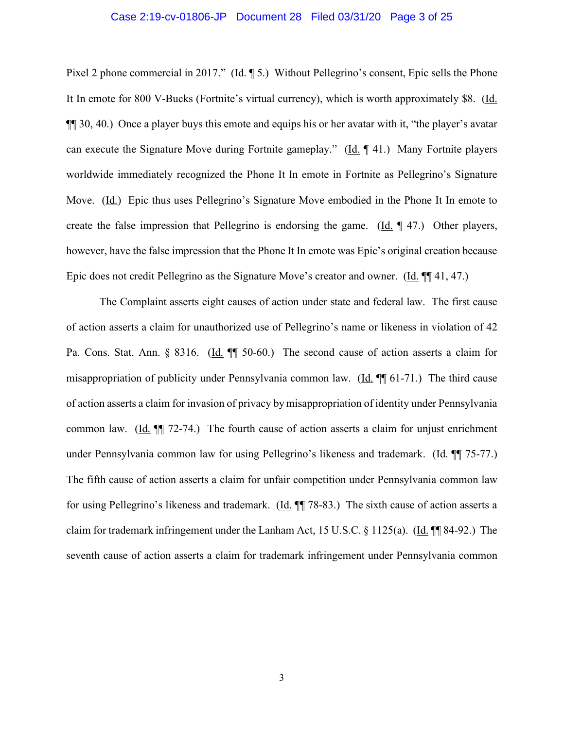#### Case 2:19-cv-01806-JP Document 28 Filed 03/31/20 Page 3 of 25

Pixel 2 phone commercial in 2017." (Id. ¶ 5.) Without Pellegrino's consent, Epic sells the Phone It In emote for 800 V-Bucks (Fortnite's virtual currency), which is worth approximately \$8. (Id. ¶¶ 30, 40.) Once a player buys this emote and equips his or her avatar with it, "the player's avatar can execute the Signature Move during Fortnite gameplay." (Id. ¶ 41.) Many Fortnite players worldwide immediately recognized the Phone It In emote in Fortnite as Pellegrino's Signature Move. (Id.) Epic thus uses Pellegrino's Signature Move embodied in the Phone It In emote to create the false impression that Pellegrino is endorsing the game. (Id. ¶ 47.) Other players, however, have the false impression that the Phone It In emote was Epic's original creation because Epic does not credit Pellegrino as the Signature Move's creator and owner. (Id. ¶¶ 41, 47.)

The Complaint asserts eight causes of action under state and federal law. The first cause of action asserts a claim for unauthorized use of Pellegrino's name or likeness in violation of 42 Pa. Cons. Stat. Ann. § 8316. (Id. ¶ 50-60.) The second cause of action asserts a claim for misappropriation of publicity under Pennsylvania common law. (Id. ¶¶ 61-71.) The third cause of action asserts a claim for invasion of privacy by misappropriation of identity under Pennsylvania common law.  $(Id. \P \P \ 72-74.)$  The fourth cause of action asserts a claim for unjust enrichment under Pennsylvania common law for using Pellegrino's likeness and trademark. (Id. ¶¶ 75-77.) The fifth cause of action asserts a claim for unfair competition under Pennsylvania common law for using Pellegrino's likeness and trademark. (Id. ¶ 78-83.) The sixth cause of action asserts a claim for trademark infringement under the Lanham Act, 15 U.S.C. § 1125(a). (Id. ¶¶ 84-92.) The seventh cause of action asserts a claim for trademark infringement under Pennsylvania common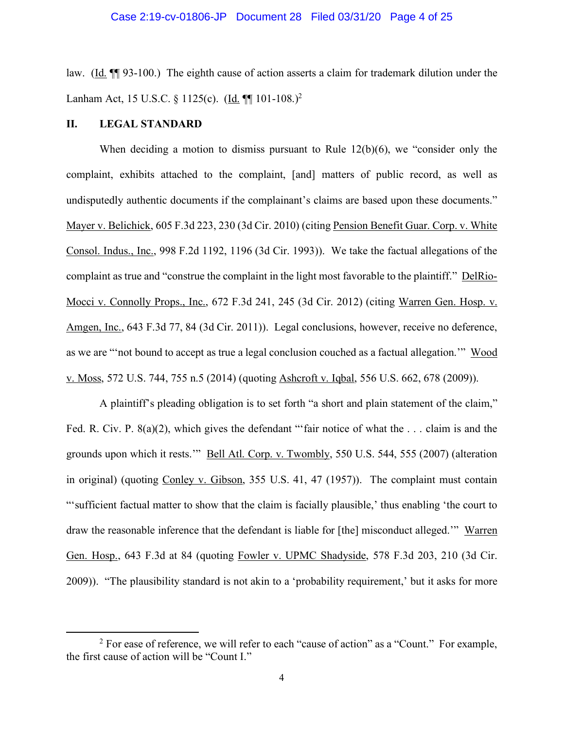law. (Id. ¶¶ 93-100.) The eighth cause of action asserts a claim for trademark dilution under the Lanham Act, 15 U.S.C. § 1125(c). (Id. ¶¶ 101-108.)<sup>2</sup>

# **II. LEGAL STANDARD**

l

When deciding a motion to dismiss pursuant to Rule 12(b)(6), we "consider only the complaint, exhibits attached to the complaint, [and] matters of public record, as well as undisputedly authentic documents if the complainant's claims are based upon these documents." Mayer v. Belichick, 605 F.3d 223, 230 (3d Cir. 2010) (citing Pension Benefit Guar. Corp. v. White Consol. Indus., Inc., 998 F.2d 1192, 1196 (3d Cir. 1993)). We take the factual allegations of the complaint as true and "construe the complaint in the light most favorable to the plaintiff." DelRio-Mocci v. Connolly Props., Inc., 672 F.3d 241, 245 (3d Cir. 2012) (citing Warren Gen. Hosp. v. Amgen, Inc., 643 F.3d 77, 84 (3d Cir. 2011)). Legal conclusions, however, receive no deference, as we are "'not bound to accept as true a legal conclusion couched as a factual allegation.'" Wood v. Moss, 572 U.S. 744, 755 n.5 (2014) (quoting Ashcroft v. Iqbal, 556 U.S. 662, 678 (2009)).

A plaintiff's pleading obligation is to set forth "a short and plain statement of the claim," Fed. R. Civ. P. 8(a)(2), which gives the defendant "'fair notice of what the ... claim is and the grounds upon which it rests.'" Bell Atl. Corp. v. Twombly, 550 U.S. 544, 555 (2007) (alteration in original) (quoting Conley v. Gibson, 355 U.S. 41, 47 (1957)). The complaint must contain "'sufficient factual matter to show that the claim is facially plausible,' thus enabling 'the court to draw the reasonable inference that the defendant is liable for [the] misconduct alleged.'" Warren Gen. Hosp., 643 F.3d at 84 (quoting Fowler v. UPMC Shadyside, 578 F.3d 203, 210 (3d Cir. 2009)). "The plausibility standard is not akin to a 'probability requirement,' but it asks for more

 $2$  For ease of reference, we will refer to each "cause of action" as a "Count." For example, the first cause of action will be "Count I."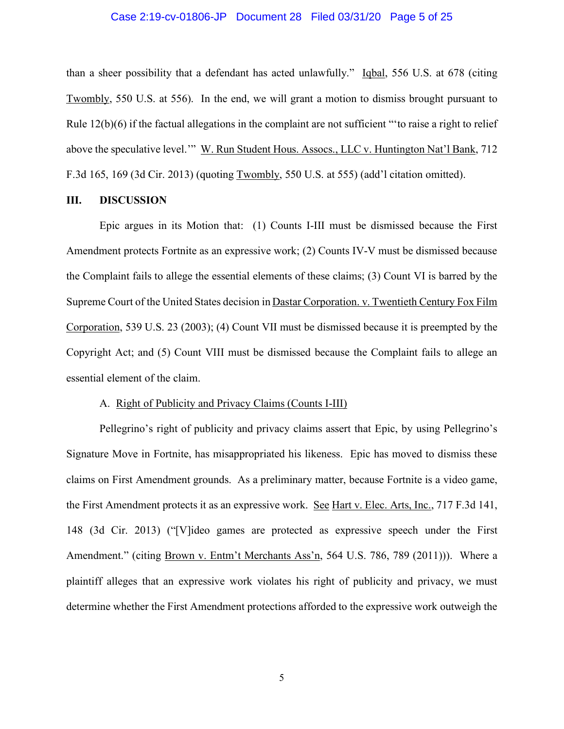#### Case 2:19-cv-01806-JP Document 28 Filed 03/31/20 Page 5 of 25

than a sheer possibility that a defendant has acted unlawfully." Igbal, 556 U.S. at 678 (citing Twombly, 550 U.S. at 556). In the end, we will grant a motion to dismiss brought pursuant to Rule 12(b)(6) if the factual allegations in the complaint are not sufficient "'to raise a right to relief above the speculative level.'" W. Run Student Hous. Assocs., LLC v. Huntington Nat'l Bank, 712 F.3d 165, 169 (3d Cir. 2013) (quoting Twombly, 550 U.S. at 555) (add'l citation omitted).

#### **III. DISCUSSION**

Epic argues in its Motion that: (1) Counts I-III must be dismissed because the First Amendment protects Fortnite as an expressive work; (2) Counts IV-V must be dismissed because the Complaint fails to allege the essential elements of these claims; (3) Count VI is barred by the Supreme Court of the United States decision in Dastar Corporation. v. Twentieth Century Fox Film Corporation, 539 U.S. 23 (2003); (4) Count VII must be dismissed because it is preempted by the Copyright Act; and (5) Count VIII must be dismissed because the Complaint fails to allege an essential element of the claim.

#### A. Right of Publicity and Privacy Claims (Counts I-III)

Pellegrino's right of publicity and privacy claims assert that Epic, by using Pellegrino's Signature Move in Fortnite, has misappropriated his likeness. Epic has moved to dismiss these claims on First Amendment grounds. As a preliminary matter, because Fortnite is a video game, the First Amendment protects it as an expressive work. See Hart v. Elec. Arts, Inc., 717 F.3d 141, 148 (3d Cir. 2013) ("[V]ideo games are protected as expressive speech under the First Amendment." (citing Brown v. Entm't Merchants Ass'n, 564 U.S. 786, 789 (2011))). Where a plaintiff alleges that an expressive work violates his right of publicity and privacy, we must determine whether the First Amendment protections afforded to the expressive work outweigh the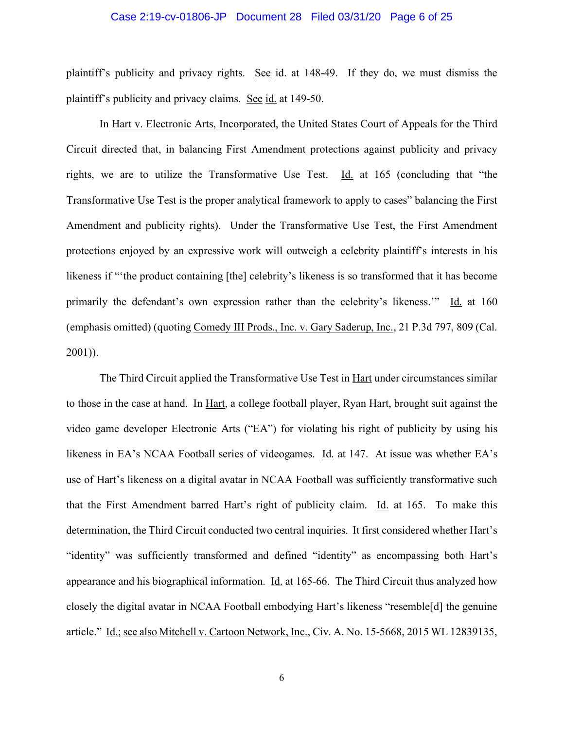#### Case 2:19-cv-01806-JP Document 28 Filed 03/31/20 Page 6 of 25

plaintiff's publicity and privacy rights. See id. at 148-49. If they do, we must dismiss the plaintiff's publicity and privacy claims. See id. at 149-50.

In Hart v. Electronic Arts, Incorporated, the United States Court of Appeals for the Third Circuit directed that, in balancing First Amendment protections against publicity and privacy rights, we are to utilize the Transformative Use Test.  $\underline{Id}$  at 165 (concluding that "the Transformative Use Test is the proper analytical framework to apply to cases" balancing the First Amendment and publicity rights). Under the Transformative Use Test, the First Amendment protections enjoyed by an expressive work will outweigh a celebrity plaintiff's interests in his likeness if "'the product containing [the] celebrity's likeness is so transformed that it has become primarily the defendant's own expression rather than the celebrity's likeness.'" Id. at 160 (emphasis omitted) (quoting Comedy III Prods., Inc. v. Gary Saderup, Inc., 21 P.3d 797, 809 (Cal. 2001)).

The Third Circuit applied the Transformative Use Test in Hart under circumstances similar to those in the case at hand. In Hart, a college football player, Ryan Hart, brought suit against the video game developer Electronic Arts ("EA") for violating his right of publicity by using his likeness in EA's NCAA Football series of videogames. Id. at 147. At issue was whether EA's use of Hart's likeness on a digital avatar in NCAA Football was sufficiently transformative such that the First Amendment barred Hart's right of publicity claim. Id. at 165. To make this determination, the Third Circuit conducted two central inquiries. It first considered whether Hart's "identity" was sufficiently transformed and defined "identity" as encompassing both Hart's appearance and his biographical information. Id. at 165-66. The Third Circuit thus analyzed how closely the digital avatar in NCAA Football embodying Hart's likeness "resemble[d] the genuine article." Id.; see also Mitchell v. Cartoon Network, Inc., Civ. A. No. 15-5668, 2015 WL 12839135,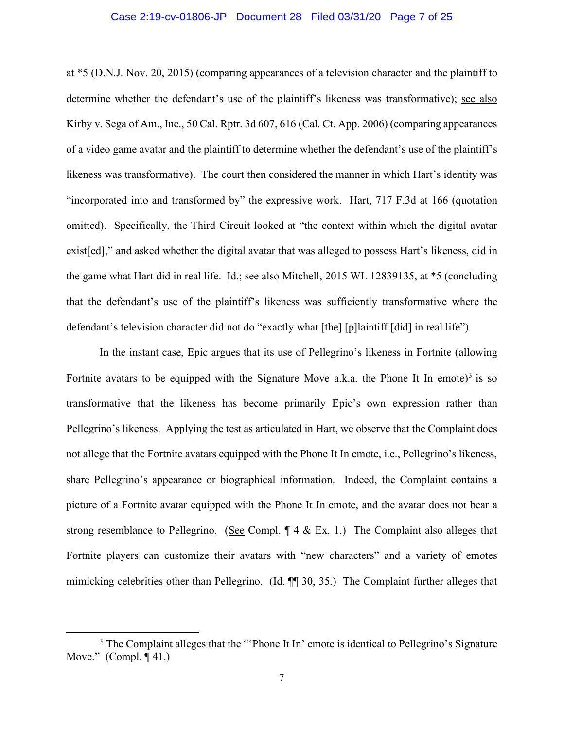#### Case 2:19-cv-01806-JP Document 28 Filed 03/31/20 Page 7 of 25

at \*5 (D.N.J. Nov. 20, 2015) (comparing appearances of a television character and the plaintiff to determine whether the defendant's use of the plaintiff's likeness was transformative); see also Kirby v. Sega of Am., Inc., 50 Cal. Rptr. 3d 607, 616 (Cal. Ct. App. 2006) (comparing appearances of a video game avatar and the plaintiff to determine whether the defendant's use of the plaintiff's likeness was transformative). The court then considered the manner in which Hart's identity was "incorporated into and transformed by" the expressive work. Hart, 717 F.3d at 166 (quotation omitted). Specifically, the Third Circuit looked at "the context within which the digital avatar exist[ed]," and asked whether the digital avatar that was alleged to possess Hart's likeness, did in the game what Hart did in real life. Id.; see also Mitchell, 2015 WL 12839135, at \*5 (concluding that the defendant's use of the plaintiff's likeness was sufficiently transformative where the defendant's television character did not do "exactly what [the] [p]laintiff [did] in real life").

In the instant case, Epic argues that its use of Pellegrino's likeness in Fortnite (allowing Fortnite avatars to be equipped with the Signature Move a.k.a. the Phone It In emote)<sup>3</sup> is so transformative that the likeness has become primarily Epic's own expression rather than Pellegrino's likeness. Applying the test as articulated in <u>Hart</u>, we observe that the Complaint does not allege that the Fortnite avatars equipped with the Phone It In emote, i.e., Pellegrino's likeness, share Pellegrino's appearance or biographical information. Indeed, the Complaint contains a picture of a Fortnite avatar equipped with the Phone It In emote, and the avatar does not bear a strong resemblance to Pellegrino. (See Compl. ¶ 4 & Ex. 1.) The Complaint also alleges that Fortnite players can customize their avatars with "new characters" and a variety of emotes mimicking celebrities other than Pellegrino. (Id. ¶ 30, 35.) The Complaint further alleges that

l

<sup>&</sup>lt;sup>3</sup> The Complaint alleges that the "'Phone It In' emote is identical to Pellegrino's Signature Move." (Compl. ¶ 41.)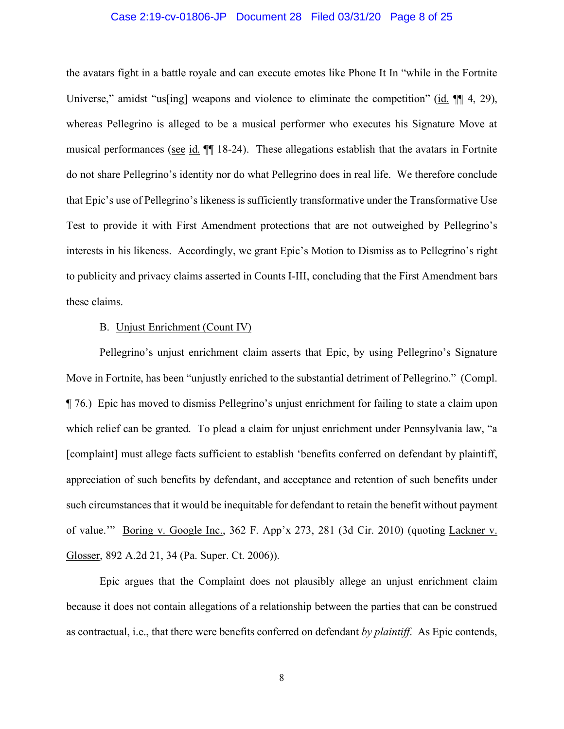### Case 2:19-cv-01806-JP Document 28 Filed 03/31/20 Page 8 of 25

the avatars fight in a battle royale and can execute emotes like Phone It In "while in the Fortnite Universe," amidst "us[ing] weapons and violence to eliminate the competition" (id.  $\P$ [4, 29), whereas Pellegrino is alleged to be a musical performer who executes his Signature Move at musical performances (see id. ¶¶ 18-24). These allegations establish that the avatars in Fortnite do not share Pellegrino's identity nor do what Pellegrino does in real life. We therefore conclude that Epic's use of Pellegrino's likeness is sufficiently transformative under the Transformative Use Test to provide it with First Amendment protections that are not outweighed by Pellegrino's interests in his likeness. Accordingly, we grant Epic's Motion to Dismiss as to Pellegrino's right to publicity and privacy claims asserted in Counts I-III, concluding that the First Amendment bars these claims.

#### B. Unjust Enrichment (Count IV)

Pellegrino's unjust enrichment claim asserts that Epic, by using Pellegrino's Signature Move in Fortnite, has been "unjustly enriched to the substantial detriment of Pellegrino." (Compl. ¶ 76.) Epic has moved to dismiss Pellegrino's unjust enrichment for failing to state a claim upon which relief can be granted. To plead a claim for unjust enrichment under Pennsylvania law, "a [complaint] must allege facts sufficient to establish 'benefits conferred on defendant by plaintiff, appreciation of such benefits by defendant, and acceptance and retention of such benefits under such circumstances that it would be inequitable for defendant to retain the benefit without payment of value.'" Boring v. Google Inc., 362 F. App'x 273, 281 (3d Cir. 2010) (quoting Lackner v. Glosser, 892 A.2d 21, 34 (Pa. Super. Ct. 2006)).

Epic argues that the Complaint does not plausibly allege an unjust enrichment claim because it does not contain allegations of a relationship between the parties that can be construed as contractual, i.e., that there were benefits conferred on defendant *by plaintiff*. As Epic contends,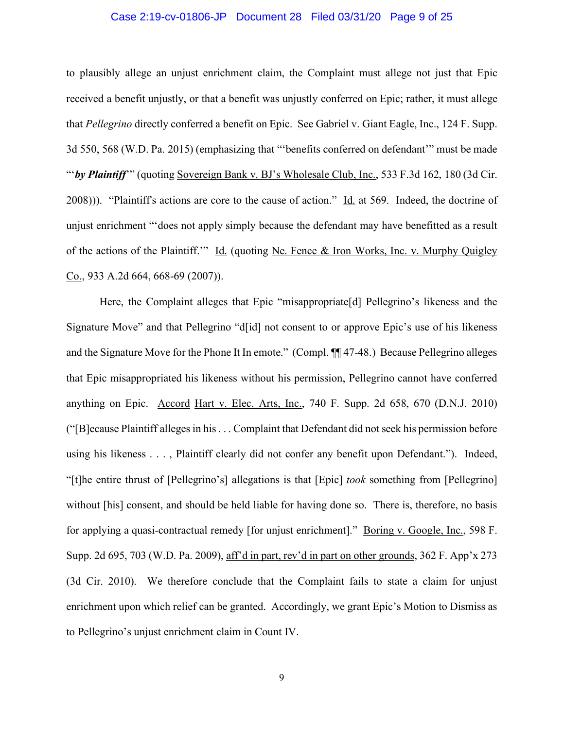### Case 2:19-cv-01806-JP Document 28 Filed 03/31/20 Page 9 of 25

to plausibly allege an unjust enrichment claim, the Complaint must allege not just that Epic received a benefit unjustly, or that a benefit was unjustly conferred on Epic; rather, it must allege that *Pellegrino* directly conferred a benefit on Epic. See Gabriel v. Giant Eagle, Inc., 124 F. Supp. 3d 550, 568 (W.D. Pa. 2015) (emphasizing that "'benefits conferred on defendant'" must be made "by Plaintiff" (quoting Sovereign Bank v. BJ's Wholesale Club, Inc., 533 F.3d 162, 180 (3d Cir.  $(2008)$ )). "Plaintiff's actions are core to the cause of action." Id. at 569. Indeed, the doctrine of unjust enrichment "'does not apply simply because the defendant may have benefitted as a result of the actions of the Plaintiff.'" Id. (quoting Ne. Fence & Iron Works, Inc. v. Murphy Quigley Co., 933 A.2d 664, 668-69 (2007)).

Here, the Complaint alleges that Epic "misappropriate<sup>[d]</sup> Pellegrino's likeness and the Signature Move" and that Pellegrino "d[id] not consent to or approve Epic's use of his likeness and the Signature Move for the Phone It In emote." (Compl. ¶¶ 47-48.) Because Pellegrino alleges that Epic misappropriated his likeness without his permission, Pellegrino cannot have conferred anything on Epic. Accord Hart v. Elec. Arts, Inc., 740 F. Supp. 2d 658, 670 (D.N.J. 2010) ("[B]ecause Plaintiff alleges in his . . . Complaint that Defendant did not seek his permission before using his likeness . . . , Plaintiff clearly did not confer any benefit upon Defendant."). Indeed, "[t]he entire thrust of [Pellegrino's] allegations is that [Epic] *took* something from [Pellegrino] without [his] consent, and should be held liable for having done so. There is, therefore, no basis for applying a quasi-contractual remedy [for unjust enrichment]." Boring v. Google, Inc., 598 F. Supp. 2d 695, 703 (W.D. Pa. 2009), aff'd in part, rev'd in part on other grounds, 362 F. App'x 273 (3d Cir. 2010). We therefore conclude that the Complaint fails to state a claim for unjust enrichment upon which relief can be granted. Accordingly, we grant Epic's Motion to Dismiss as to Pellegrino's unjust enrichment claim in Count IV.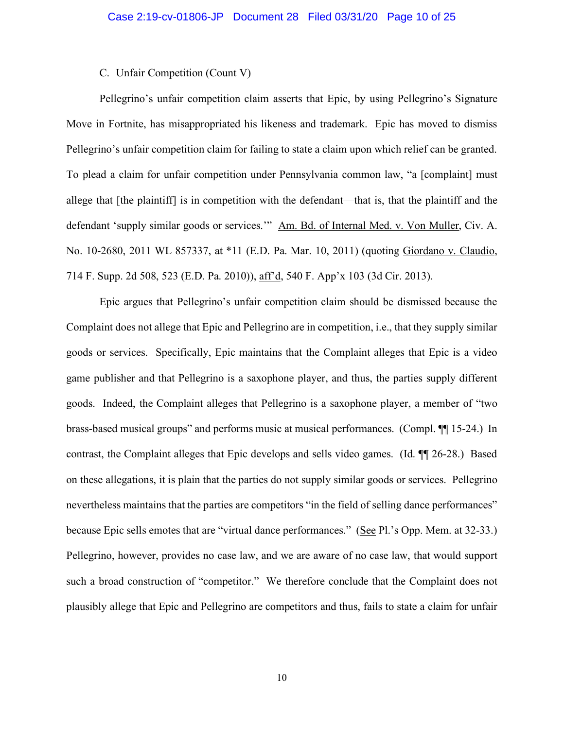### C. Unfair Competition (Count V)

Pellegrino's unfair competition claim asserts that Epic, by using Pellegrino's Signature Move in Fortnite, has misappropriated his likeness and trademark. Epic has moved to dismiss Pellegrino's unfair competition claim for failing to state a claim upon which relief can be granted. To plead a claim for unfair competition under Pennsylvania common law, "a [complaint] must allege that [the plaintiff] is in competition with the defendant—that is, that the plaintiff and the defendant 'supply similar goods or services.'" Am. Bd. of Internal Med. v. Von Muller, Civ. A. No. 10-2680, 2011 WL 857337, at \*11 (E.D. Pa. Mar. 10, 2011) (quoting Giordano v. Claudio, 714 F. Supp. 2d 508, 523 (E.D. Pa. 2010)), aff'd, 540 F. App'x 103 (3d Cir. 2013).

Epic argues that Pellegrino's unfair competition claim should be dismissed because the Complaint does not allege that Epic and Pellegrino are in competition, i.e., that they supply similar goods or services. Specifically, Epic maintains that the Complaint alleges that Epic is a video game publisher and that Pellegrino is a saxophone player, and thus, the parties supply different goods. Indeed, the Complaint alleges that Pellegrino is a saxophone player, a member of "two brass-based musical groups" and performs music at musical performances. (Compl. ¶¶ 15-24.) In contrast, the Complaint alleges that Epic develops and sells video games. (Id. ¶¶ 26-28.) Based on these allegations, it is plain that the parties do not supply similar goods or services. Pellegrino nevertheless maintains that the parties are competitors "in the field of selling dance performances" because Epic sells emotes that are "virtual dance performances." (See Pl.'s Opp. Mem. at 32-33.) Pellegrino, however, provides no case law, and we are aware of no case law, that would support such a broad construction of "competitor." We therefore conclude that the Complaint does not plausibly allege that Epic and Pellegrino are competitors and thus, fails to state a claim for unfair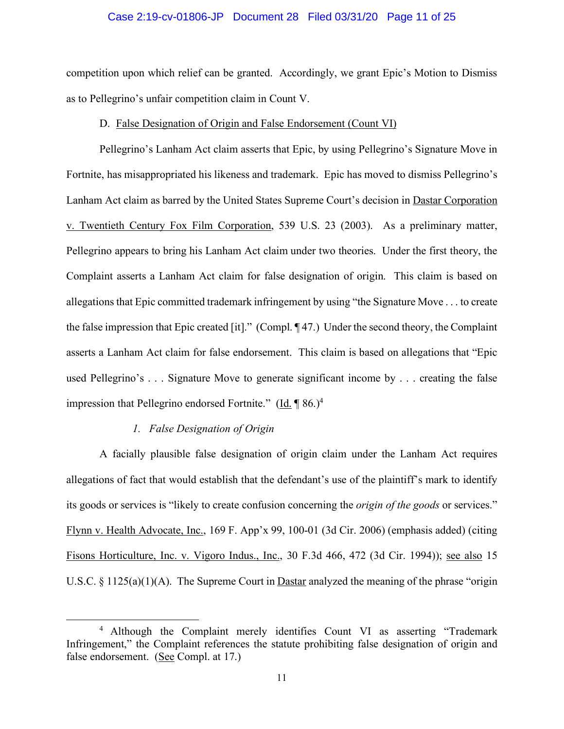### Case 2:19-cv-01806-JP Document 28 Filed 03/31/20 Page 11 of 25

competition upon which relief can be granted. Accordingly, we grant Epic's Motion to Dismiss as to Pellegrino's unfair competition claim in Count V.

#### D. False Designation of Origin and False Endorsement (Count VI)

Pellegrino's Lanham Act claim asserts that Epic, by using Pellegrino's Signature Move in Fortnite, has misappropriated his likeness and trademark. Epic has moved to dismiss Pellegrino's Lanham Act claim as barred by the United States Supreme Court's decision in Dastar Corporation v. Twentieth Century Fox Film Corporation, 539 U.S. 23 (2003). As a preliminary matter, Pellegrino appears to bring his Lanham Act claim under two theories. Under the first theory, the Complaint asserts a Lanham Act claim for false designation of origin. This claim is based on allegations that Epic committed trademark infringement by using "the Signature Move . . . to create the false impression that Epic created [it]." (Compl. ¶ 47.) Under the second theory, the Complaint asserts a Lanham Act claim for false endorsement. This claim is based on allegations that "Epic used Pellegrino's . . . Signature Move to generate significant income by . . . creating the false impression that Pellegrino endorsed Fortnite." (Id. ¶ 86.)4

# *1. False Designation of Origin*

 $\overline{a}$ 

A facially plausible false designation of origin claim under the Lanham Act requires allegations of fact that would establish that the defendant's use of the plaintiff's mark to identify its goods or services is "likely to create confusion concerning the *origin of the goods* or services." Flynn v. Health Advocate, Inc., 169 F. App'x 99, 100-01 (3d Cir. 2006) (emphasis added) (citing Fisons Horticulture, Inc. v. Vigoro Indus., Inc., 30 F.3d 466, 472 (3d Cir. 1994)); see also 15 U.S.C. § 1125(a)(1)(A). The Supreme Court in **Dastar** analyzed the meaning of the phrase "origin

<sup>4</sup> Although the Complaint merely identifies Count VI as asserting "Trademark Infringement," the Complaint references the statute prohibiting false designation of origin and false endorsement. (See Compl. at 17.)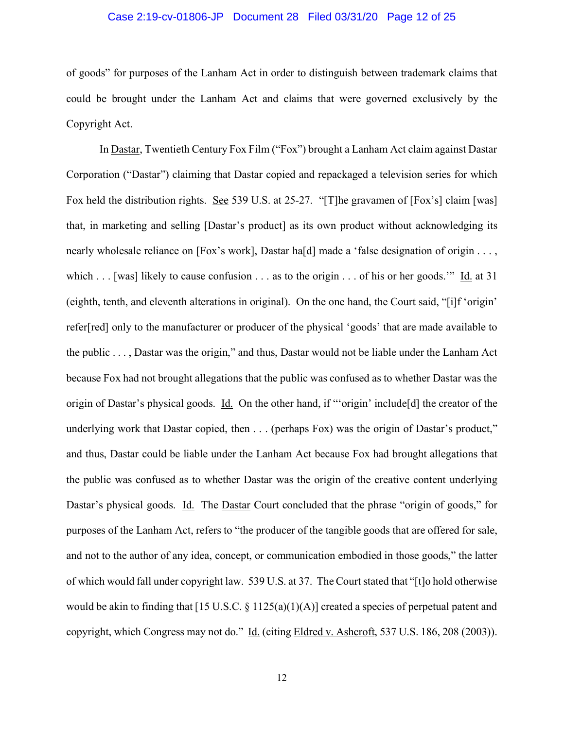### Case 2:19-cv-01806-JP Document 28 Filed 03/31/20 Page 12 of 25

of goods" for purposes of the Lanham Act in order to distinguish between trademark claims that could be brought under the Lanham Act and claims that were governed exclusively by the Copyright Act.

In Dastar, Twentieth Century Fox Film ("Fox") brought a Lanham Act claim against Dastar Corporation ("Dastar") claiming that Dastar copied and repackaged a television series for which Fox held the distribution rights. See 539 U.S. at 25-27. "[T]he gravamen of [Fox's] claim [was] that, in marketing and selling [Dastar's product] as its own product without acknowledging its nearly wholesale reliance on [Fox's work], Dastar ha[d] made a 'false designation of origin . . . , which . . . [was] likely to cause confusion . . . as to the origin . . . of his or her goods." Id. at 31 (eighth, tenth, and eleventh alterations in original). On the one hand, the Court said, "[i]f 'origin' refer[red] only to the manufacturer or producer of the physical 'goods' that are made available to the public . . . , Dastar was the origin," and thus, Dastar would not be liable under the Lanham Act because Fox had not brought allegations that the public was confused as to whether Dastar was the origin of Dastar's physical goods. Id. On the other hand, if "'origin' include[d] the creator of the underlying work that Dastar copied, then . . . (perhaps Fox) was the origin of Dastar's product," and thus, Dastar could be liable under the Lanham Act because Fox had brought allegations that the public was confused as to whether Dastar was the origin of the creative content underlying Dastar's physical goods. Id. The Dastar Court concluded that the phrase "origin of goods," for purposes of the Lanham Act, refers to "the producer of the tangible goods that are offered for sale, and not to the author of any idea, concept, or communication embodied in those goods," the latter of which would fall under copyright law. 539 U.S. at 37. The Court stated that "[t]o hold otherwise would be akin to finding that [15 U.S.C. § 1125(a)(1)(A)] created a species of perpetual patent and copyright, which Congress may not do." Id. (citing Eldred v. Ashcroft, 537 U.S. 186, 208 (2003)).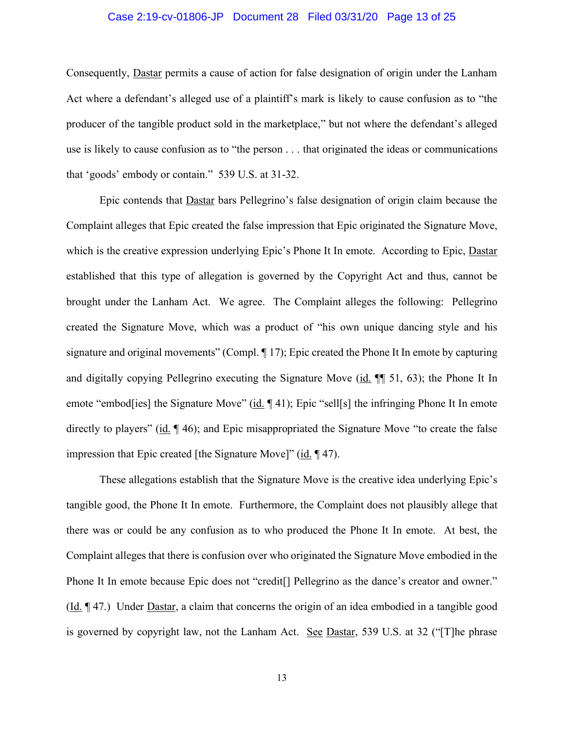#### Case 2:19-cv-01806-JP Document 28 Filed 03/31/20 Page 13 of 25

Consequently, Dastar permits a cause of action for false designation of origin under the Lanham Act where a defendant's alleged use of a plaintiff's mark is likely to cause confusion as to "the producer of the tangible product sold in the marketplace," but not where the defendant's alleged use is likely to cause confusion as to "the person . . . that originated the ideas or communications that 'goods' embody or contain." 539 U.S. at 31-32.

Epic contends that Dastar bars Pellegrino's false designation of origin claim because the Complaint alleges that Epic created the false impression that Epic originated the Signature Move, which is the creative expression underlying Epic's Phone It In emote. According to Epic, Dastar established that this type of allegation is governed by the Copyright Act and thus, cannot be brought under the Lanham Act. We agree. The Complaint alleges the following: Pellegrino created the Signature Move, which was a product of "his own unique dancing style and his signature and original movements" (Compl. ¶ 17); Epic created the Phone It In emote by capturing and digitally copying Pellegrino executing the Signature Move (id. ¶¶ 51, 63); the Phone It In emote "embod[ies] the Signature Move" (id. 141); Epic "sell[s] the infringing Phone It In emote directly to players" (id.  $\llbracket$  46); and Epic misappropriated the Signature Move "to create the false impression that Epic created [the Signature Move]" (id. ¶ 47).

These allegations establish that the Signature Move is the creative idea underlying Epic's tangible good, the Phone It In emote. Furthermore, the Complaint does not plausibly allege that there was or could be any confusion as to who produced the Phone It In emote. At best, the Complaint alleges that there is confusion over who originated the Signature Move embodied in the Phone It In emote because Epic does not "credit[] Pellegrino as the dance's creator and owner." (Id. ¶ 47.) Under Dastar, a claim that concerns the origin of an idea embodied in a tangible good is governed by copyright law, not the Lanham Act. See Dastar, 539 U.S. at 32 ("The phrase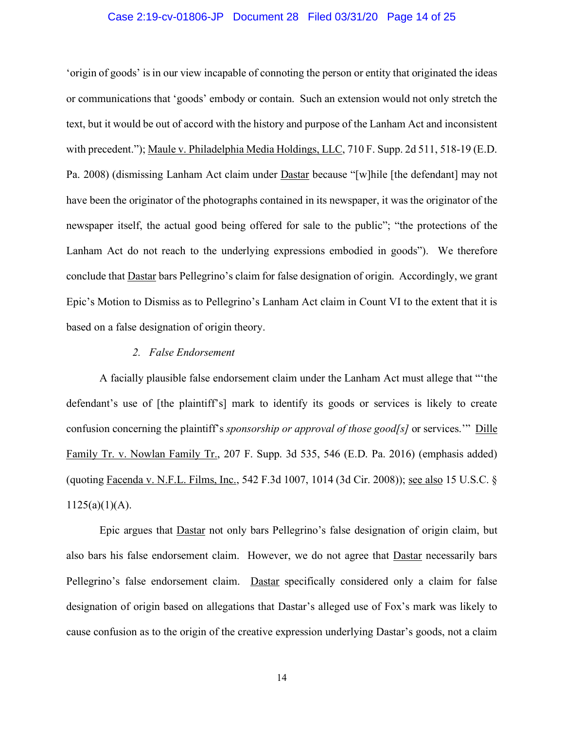### Case 2:19-cv-01806-JP Document 28 Filed 03/31/20 Page 14 of 25

'origin of goods' is in our view incapable of connoting the person or entity that originated the ideas or communications that 'goods' embody or contain. Such an extension would not only stretch the text, but it would be out of accord with the history and purpose of the Lanham Act and inconsistent with precedent."); Maule v. Philadelphia Media Holdings, LLC, 710 F. Supp. 2d 511, 518-19 (E.D. Pa. 2008) (dismissing Lanham Act claim under Dastar because "[w]hile [the defendant] may not have been the originator of the photographs contained in its newspaper, it was the originator of the newspaper itself, the actual good being offered for sale to the public"; "the protections of the Lanham Act do not reach to the underlying expressions embodied in goods"). We therefore conclude that Dastar bars Pellegrino's claim for false designation of origin. Accordingly, we grant Epic's Motion to Dismiss as to Pellegrino's Lanham Act claim in Count VI to the extent that it is based on a false designation of origin theory.

### *2. False Endorsement*

A facially plausible false endorsement claim under the Lanham Act must allege that "'the defendant's use of [the plaintiff's] mark to identify its goods or services is likely to create confusion concerning the plaintiff's *sponsorship or approval of those good[s]* or services.'" Dille Family Tr. v. Nowlan Family Tr., 207 F. Supp. 3d 535, 546 (E.D. Pa. 2016) (emphasis added) (quoting Facenda v. N.F.L. Films, Inc., 542 F.3d 1007, 1014 (3d Cir. 2008)); see also 15 U.S.C. §  $1125(a)(1)(A)$ .

Epic argues that Dastar not only bars Pellegrino's false designation of origin claim, but also bars his false endorsement claim. However, we do not agree that Dastar necessarily bars Pellegrino's false endorsement claim. Dastar specifically considered only a claim for false designation of origin based on allegations that Dastar's alleged use of Fox's mark was likely to cause confusion as to the origin of the creative expression underlying Dastar's goods, not a claim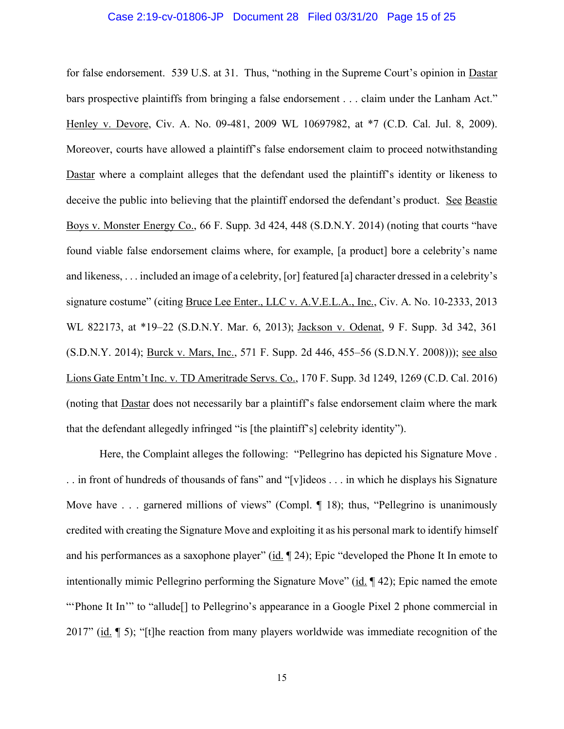#### Case 2:19-cv-01806-JP Document 28 Filed 03/31/20 Page 15 of 25

for false endorsement. 539 U.S. at 31. Thus, "nothing in the Supreme Court's opinion in Dastar bars prospective plaintiffs from bringing a false endorsement . . . claim under the Lanham Act." Henley v. Devore, Civ. A. No. 09-481, 2009 WL 10697982, at \*7 (C.D. Cal. Jul. 8, 2009). Moreover, courts have allowed a plaintiff's false endorsement claim to proceed notwithstanding Dastar where a complaint alleges that the defendant used the plaintiff's identity or likeness to deceive the public into believing that the plaintiff endorsed the defendant's product. See Beastie Boys v. Monster Energy Co., 66 F. Supp. 3d 424, 448 (S.D.N.Y. 2014) (noting that courts "have found viable false endorsement claims where, for example, [a product] bore a celebrity's name and likeness, . . . included an image of a celebrity, [or] featured [a] character dressed in a celebrity's signature costume" (citing Bruce Lee Enter., LLC v. A.V.E.L.A., Inc., Civ. A. No. 10-2333, 2013 WL 822173, at \*19–22 (S.D.N.Y. Mar. 6, 2013); Jackson v. Odenat, 9 F. Supp. 3d 342, 361 (S.D.N.Y. 2014); Burck v. Mars, Inc., 571 F. Supp. 2d 446, 455–56 (S.D.N.Y. 2008))); see also Lions Gate Entm't Inc. v. TD Ameritrade Servs. Co., 170 F. Supp. 3d 1249, 1269 (C.D. Cal. 2016) (noting that Dastar does not necessarily bar a plaintiff's false endorsement claim where the mark that the defendant allegedly infringed "is [the plaintiff's] celebrity identity").

Here, the Complaint alleges the following: "Pellegrino has depicted his Signature Move . . . in front of hundreds of thousands of fans" and "[v]ideos . . . in which he displays his Signature Move have . . . garnered millions of views" (Compl. ¶ 18); thus, "Pellegrino is unanimously credited with creating the Signature Move and exploiting it as his personal mark to identify himself and his performances as a saxophone player" (id. 124); Epic "developed the Phone It In emote to intentionally mimic Pellegrino performing the Signature Move" (id.  $\P$  42); Epic named the emote "'Phone It In'" to "allude<sup>[]</sup> to Pellegrino's appearance in a Google Pixel 2 phone commercial in 2017" (id.  $\parallel$  5); "[t]he reaction from many players worldwide was immediate recognition of the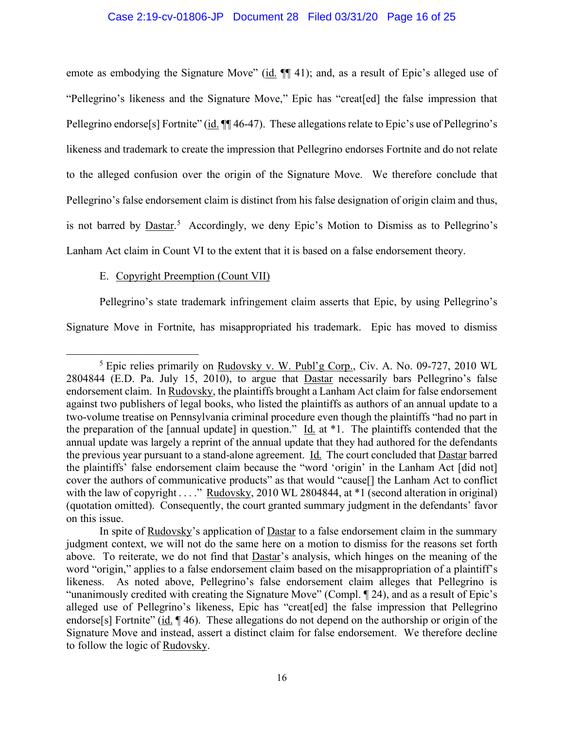# Case 2:19-cv-01806-JP Document 28 Filed 03/31/20 Page 16 of 25

emote as embodying the Signature Move" (id.  $\P$  41); and, as a result of Epic's alleged use of "Pellegrino's likeness and the Signature Move," Epic has "creat[ed] the false impression that Pellegrino endorse<sup>[s]</sup> Fortnite" (id. ¶[[ 46-47). These allegations relate to Epic's use of Pellegrino's likeness and trademark to create the impression that Pellegrino endorses Fortnite and do not relate to the alleged confusion over the origin of the Signature Move. We therefore conclude that Pellegrino's false endorsement claim is distinct from his false designation of origin claim and thus, is not barred by **Dastar.**<sup>5</sup> Accordingly, we deny Epic's Motion to Dismiss as to Pellegrino's Lanham Act claim in Count VI to the extent that it is based on a false endorsement theory.

# E. Copyright Preemption (Count VII)

l

Pellegrino's state trademark infringement claim asserts that Epic, by using Pellegrino's

Signature Move in Fortnite, has misappropriated his trademark. Epic has moved to dismiss

<sup>5</sup> Epic relies primarily on Rudovsky v. W. Publ'g Corp., Civ. A. No. 09-727, 2010 WL 2804844 (E.D. Pa. July 15, 2010), to argue that Dastar necessarily bars Pellegrino's false endorsement claim. In Rudovsky, the plaintiffs brought a Lanham Act claim for false endorsement against two publishers of legal books, who listed the plaintiffs as authors of an annual update to a two-volume treatise on Pennsylvania criminal procedure even though the plaintiffs "had no part in the preparation of the [annual update] in question." Id. at  $*1$ . The plaintiffs contended that the annual update was largely a reprint of the annual update that they had authored for the defendants the previous year pursuant to a stand-alone agreement. Id. The court concluded that **Dastar** barred the plaintiffs' false endorsement claim because the "word 'origin' in the Lanham Act [did not] cover the authors of communicative products" as that would "cause[] the Lanham Act to conflict with the law of copyright . . . ." Rudovsky, 2010 WL 2804844, at \*1 (second alteration in original) (quotation omitted). Consequently, the court granted summary judgment in the defendants' favor on this issue.

In spite of Rudovsky's application of Dastar to a false endorsement claim in the summary judgment context, we will not do the same here on a motion to dismiss for the reasons set forth above. To reiterate, we do not find that Dastar's analysis, which hinges on the meaning of the word "origin," applies to a false endorsement claim based on the misappropriation of a plaintiff's likeness. As noted above, Pellegrino's false endorsement claim alleges that Pellegrino is "unanimously credited with creating the Signature Move" (Compl. ¶ 24), and as a result of Epic's alleged use of Pellegrino's likeness, Epic has "creat[ed] the false impression that Pellegrino endorse<sup>[s]</sup> Fortnite" (id. 146). These allegations do not depend on the authorship or origin of the Signature Move and instead, assert a distinct claim for false endorsement. We therefore decline to follow the logic of Rudovsky.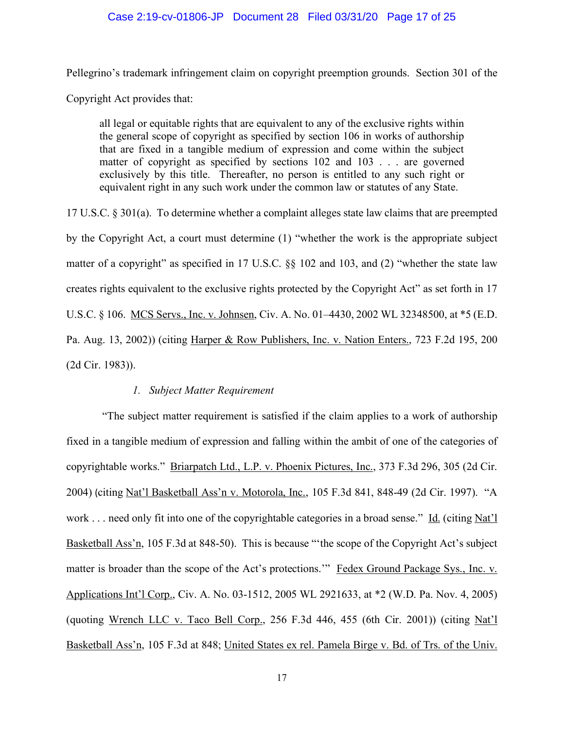# Case 2:19-cv-01806-JP Document 28 Filed 03/31/20 Page 17 of 25

Pellegrino's trademark infringement claim on copyright preemption grounds. Section 301 of the Copyright Act provides that:

all legal or equitable rights that are equivalent to any of the exclusive rights within the general scope of copyright as specified by section 106 in works of authorship that are fixed in a tangible medium of expression and come within the subject matter of copyright as specified by sections 102 and 103 . . . are governed exclusively by this title. Thereafter, no person is entitled to any such right or equivalent right in any such work under the common law or statutes of any State.

17 U.S.C. § 301(a). To determine whether a complaint alleges state law claims that are preempted by the Copyright Act, a court must determine (1) "whether the work is the appropriate subject matter of a copyright" as specified in 17 U.S.C. §§ 102 and 103, and (2) "whether the state law creates rights equivalent to the exclusive rights protected by the Copyright Act" as set forth in 17 U.S.C. § 106. MCS Servs., Inc. v. Johnsen, Civ. A. No. 01–4430, 2002 WL 32348500, at \*5 (E.D. Pa. Aug. 13, 2002)) (citing Harper & Row Publishers, Inc. v. Nation Enters., 723 F.2d 195, 200 (2d Cir. 1983)).

# *1. Subject Matter Requirement*

"The subject matter requirement is satisfied if the claim applies to a work of authorship fixed in a tangible medium of expression and falling within the ambit of one of the categories of copyrightable works." Briarpatch Ltd., L.P. v. Phoenix Pictures, Inc., 373 F.3d 296, 305 (2d Cir. 2004) (citing Nat'l Basketball Ass'n v. Motorola, Inc., 105 F.3d 841, 848-49 (2d Cir. 1997). "A work . . . need only fit into one of the copyrightable categories in a broad sense." Id. (citing Nat'l Basketball Ass'n, 105 F.3d at 848-50). This is because "'the scope of the Copyright Act's subject matter is broader than the scope of the Act's protections." Fedex Ground Package Sys., Inc. v. Applications Int'l Corp., Civ. A. No. 03-1512, 2005 WL 2921633, at \*2 (W.D. Pa. Nov. 4, 2005) (quoting Wrench LLC v. Taco Bell Corp., 256 F.3d 446, 455 (6th Cir. 2001)) (citing Nat'l Basketball Ass'n, 105 F.3d at 848; United States ex rel. Pamela Birge v. Bd. of Trs. of the Univ.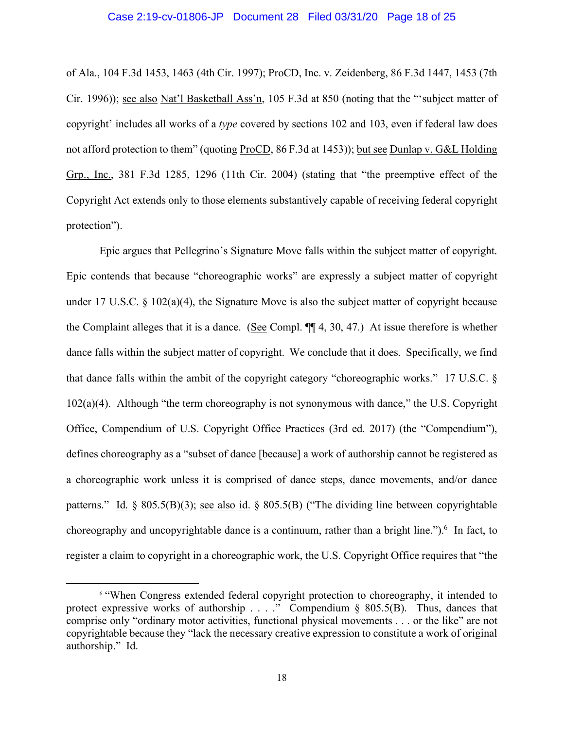#### Case 2:19-cv-01806-JP Document 28 Filed 03/31/20 Page 18 of 25

of Ala., 104 F.3d 1453, 1463 (4th Cir. 1997); ProCD, Inc. v. Zeidenberg, 86 F.3d 1447, 1453 (7th Cir. 1996)); see also Nat'l Basketball Ass'n, 105 F.3d at 850 (noting that the "'subject matter of copyright' includes all works of a *type* covered by sections 102 and 103, even if federal law does not afford protection to them" (quoting ProCD, 86 F.3d at 1453)); but see Dunlap v. G&L Holding Grp., Inc., 381 F.3d 1285, 1296 (11th Cir. 2004) (stating that "the preemptive effect of the Copyright Act extends only to those elements substantively capable of receiving federal copyright protection").

Epic argues that Pellegrino's Signature Move falls within the subject matter of copyright. Epic contends that because "choreographic works" are expressly a subject matter of copyright under 17 U.S.C. § 102(a)(4), the Signature Move is also the subject matter of copyright because the Complaint alleges that it is a dance. (See Compl. ¶¶ 4, 30, 47.) At issue therefore is whether dance falls within the subject matter of copyright. We conclude that it does. Specifically, we find that dance falls within the ambit of the copyright category "choreographic works." 17 U.S.C. §  $102(a)(4)$ . Although "the term choreography is not synonymous with dance," the U.S. Copyright Office, Compendium of U.S. Copyright Office Practices (3rd ed. 2017) (the "Compendium"), defines choreography as a "subset of dance [because] a work of authorship cannot be registered as a choreographic work unless it is comprised of dance steps, dance movements, and/or dance patterns." Id. § 805.5(B)(3); see also id. § 805.5(B) ("The dividing line between copyrightable choreography and uncopyrightable dance is a continuum, rather than a bright line.").<sup>6</sup> In fact, to register a claim to copyright in a choreographic work, the U.S. Copyright Office requires that "the

l

<sup>6</sup> "When Congress extended federal copyright protection to choreography, it intended to protect expressive works of authorship . . . ." Compendium § 805.5(B). Thus, dances that comprise only "ordinary motor activities, functional physical movements . . . or the like" are not copyrightable because they "lack the necessary creative expression to constitute a work of original authorship." Id.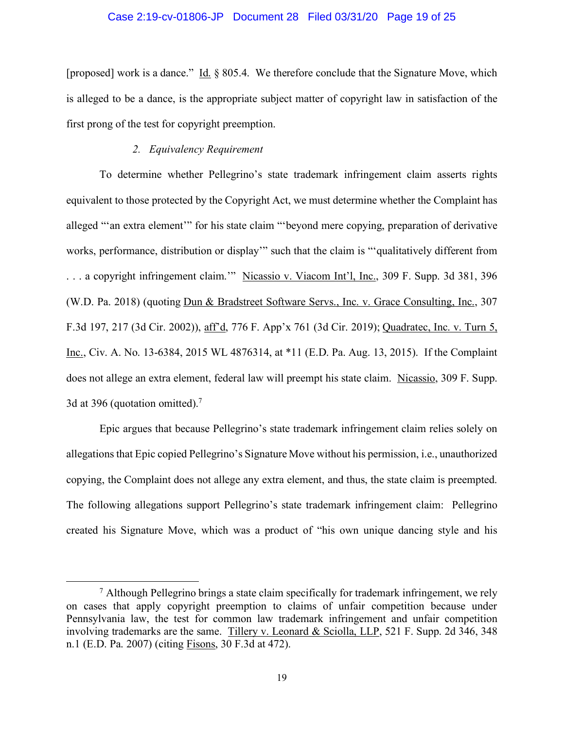### Case 2:19-cv-01806-JP Document 28 Filed 03/31/20 Page 19 of 25

[proposed] work is a dance." Id. § 805.4. We therefore conclude that the Signature Move, which is alleged to be a dance, is the appropriate subject matter of copyright law in satisfaction of the first prong of the test for copyright preemption.

# *2. Equivalency Requirement*

l

To determine whether Pellegrino's state trademark infringement claim asserts rights equivalent to those protected by the Copyright Act, we must determine whether the Complaint has alleged "'an extra element'" for his state claim "'beyond mere copying, preparation of derivative works, performance, distribution or display'" such that the claim is "'qualitatively different from . . . a copyright infringement claim.'" Nicassio v. Viacom Int'l, Inc., 309 F. Supp. 3d 381, 396 (W.D. Pa. 2018) (quoting Dun & Bradstreet Software Servs., Inc. v. Grace Consulting, Inc., 307 F.3d 197, 217 (3d Cir. 2002)), aff'd, 776 F. App'x 761 (3d Cir. 2019); Quadratec, Inc. v. Turn 5, Inc., Civ. A. No. 13-6384, 2015 WL 4876314, at \*11 (E.D. Pa. Aug. 13, 2015). If the Complaint does not allege an extra element, federal law will preempt his state claim. Nicassio, 309 F. Supp. 3d at 396 (quotation omitted).<sup>7</sup>

Epic argues that because Pellegrino's state trademark infringement claim relies solely on allegations that Epic copied Pellegrino's Signature Move without his permission, i.e., unauthorized copying, the Complaint does not allege any extra element, and thus, the state claim is preempted. The following allegations support Pellegrino's state trademark infringement claim: Pellegrino created his Signature Move, which was a product of "his own unique dancing style and his

 $<sup>7</sup>$  Although Pellegrino brings a state claim specifically for trademark infringement, we rely</sup> on cases that apply copyright preemption to claims of unfair competition because under Pennsylvania law, the test for common law trademark infringement and unfair competition involving trademarks are the same. Tillery v. Leonard & Sciolla, LLP, 521 F. Supp. 2d 346, 348 n.1 (E.D. Pa. 2007) (citing Fisons, 30 F.3d at 472).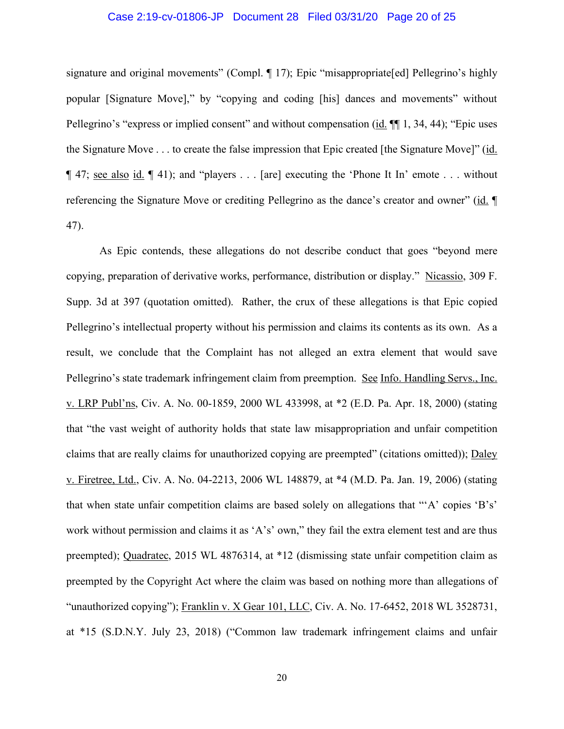### Case 2:19-cv-01806-JP Document 28 Filed 03/31/20 Page 20 of 25

signature and original movements" (Compl. ¶ 17); Epic "misappropriate[ed] Pellegrino's highly popular [Signature Move]," by "copying and coding [his] dances and movements" without Pellegrino's "express or implied consent" and without compensation (id. ¶¶ 1, 34, 44); "Epic uses the Signature Move . . . to create the false impression that Epic created [the Signature Move]" (id. ¶ 47; see also id. ¶ 41); and "players . . . [are] executing the 'Phone It In' emote . . . without referencing the Signature Move or crediting Pellegrino as the dance's creator and owner" (id. ¶ 47).

As Epic contends, these allegations do not describe conduct that goes "beyond mere copying, preparation of derivative works, performance, distribution or display." Nicassio, 309 F. Supp. 3d at 397 (quotation omitted). Rather, the crux of these allegations is that Epic copied Pellegrino's intellectual property without his permission and claims its contents as its own. As a result, we conclude that the Complaint has not alleged an extra element that would save Pellegrino's state trademark infringement claim from preemption. See Info. Handling Servs., Inc. v. LRP Publ'ns, Civ. A. No. 00-1859, 2000 WL 433998, at \*2 (E.D. Pa. Apr. 18, 2000) (stating that "the vast weight of authority holds that state law misappropriation and unfair competition claims that are really claims for unauthorized copying are preempted" (citations omitted)); Daley v. Firetree, Ltd., Civ. A. No. 04-2213, 2006 WL 148879, at \*4 (M.D. Pa. Jan. 19, 2006) (stating that when state unfair competition claims are based solely on allegations that "'A' copies 'B's' work without permission and claims it as 'A's' own," they fail the extra element test and are thus preempted); Quadratec, 2015 WL 4876314, at \*12 (dismissing state unfair competition claim as preempted by the Copyright Act where the claim was based on nothing more than allegations of "unauthorized copying"); Franklin v. X Gear 101, LLC, Civ. A. No. 17-6452, 2018 WL 3528731, at \*15 (S.D.N.Y. July 23, 2018) ("Common law trademark infringement claims and unfair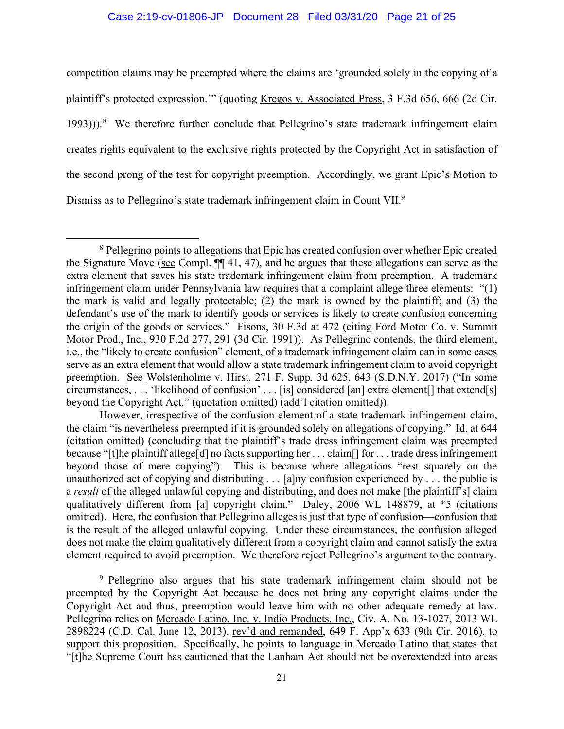# Case 2:19-cv-01806-JP Document 28 Filed 03/31/20 Page 21 of 25

competition claims may be preempted where the claims are 'grounded solely in the copying of a plaintiff's protected expression.'" (quoting Kregos v. Associated Press, 3 F.3d 656, 666 (2d Cir. 1993))).<sup>8</sup> We therefore further conclude that Pellegrino's state trademark infringement claim creates rights equivalent to the exclusive rights protected by the Copyright Act in satisfaction of the second prong of the test for copyright preemption. Accordingly, we grant Epic's Motion to Dismiss as to Pellegrino's state trademark infringement claim in Count VII.<sup>9</sup>

 $\overline{a}$ 

<sup>&</sup>lt;sup>8</sup> Pellegrino points to allegations that Epic has created confusion over whether Epic created the Signature Move (see Compl. ¶¶ 41, 47), and he argues that these allegations can serve as the extra element that saves his state trademark infringement claim from preemption. A trademark infringement claim under Pennsylvania law requires that a complaint allege three elements: "(1) the mark is valid and legally protectable; (2) the mark is owned by the plaintiff; and (3) the defendant's use of the mark to identify goods or services is likely to create confusion concerning the origin of the goods or services." Fisons, 30 F.3d at 472 (citing Ford Motor Co. v. Summit Motor Prod., Inc., 930 F.2d 277, 291 (3d Cir. 1991)). As Pellegrino contends, the third element, i.e., the "likely to create confusion" element, of a trademark infringement claim can in some cases serve as an extra element that would allow a state trademark infringement claim to avoid copyright preemption. See Wolstenholme v. Hirst, 271 F. Supp. 3d 625, 643 (S.D.N.Y. 2017) ("In some circumstances, . . . 'likelihood of confusion' . . . [is] considered [an] extra element[] that extend[s] beyond the Copyright Act." (quotation omitted) (add'l citation omitted)).

However, irrespective of the confusion element of a state trademark infringement claim, the claim "is nevertheless preempted if it is grounded solely on allegations of copying." Id. at 644 (citation omitted) (concluding that the plaintiff's trade dress infringement claim was preempted because "[t]he plaintiff allege[d] no facts supporting her . . . claim[] for . . . trade dress infringement beyond those of mere copying"). This is because where allegations "rest squarely on the unauthorized act of copying and distributing . . . [a]ny confusion experienced by . . . the public is a *result* of the alleged unlawful copying and distributing, and does not make [the plaintiff's] claim qualitatively different from [a] copyright claim." Daley, 2006 WL 148879, at \*5 (citations omitted). Here, the confusion that Pellegrino alleges is just that type of confusion—confusion that is the result of the alleged unlawful copying. Under these circumstances, the confusion alleged does not make the claim qualitatively different from a copyright claim and cannot satisfy the extra element required to avoid preemption. We therefore reject Pellegrino's argument to the contrary.

<sup>9</sup> Pellegrino also argues that his state trademark infringement claim should not be preempted by the Copyright Act because he does not bring any copyright claims under the Copyright Act and thus, preemption would leave him with no other adequate remedy at law. Pellegrino relies on Mercado Latino, Inc. v. Indio Products, Inc., Civ. A. No. 13-1027, 2013 WL 2898224 (C.D. Cal. June 12, 2013), rev'd and remanded, 649 F. App'x 633 (9th Cir. 2016), to support this proposition. Specifically, he points to language in Mercado Latino that states that "[t]he Supreme Court has cautioned that the Lanham Act should not be overextended into areas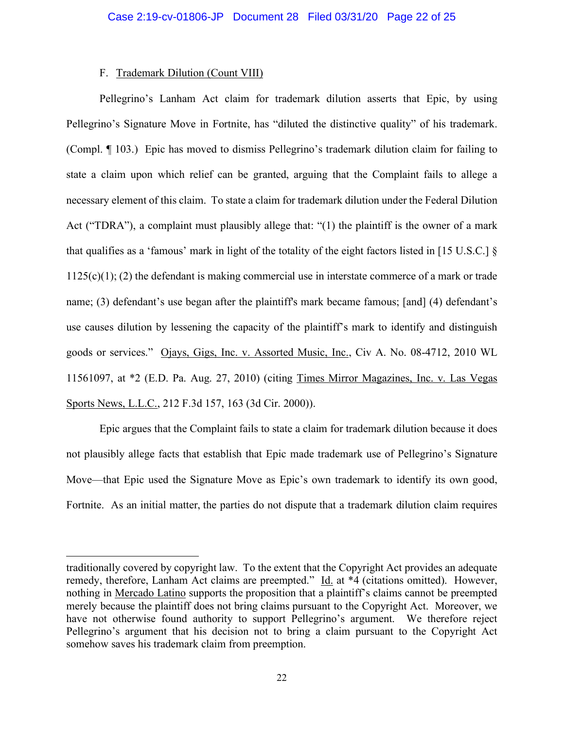# F. Trademark Dilution (Count VIII)

l

Pellegrino's Lanham Act claim for trademark dilution asserts that Epic, by using Pellegrino's Signature Move in Fortnite, has "diluted the distinctive quality" of his trademark. (Compl. ¶ 103.) Epic has moved to dismiss Pellegrino's trademark dilution claim for failing to state a claim upon which relief can be granted, arguing that the Complaint fails to allege a necessary element of this claim. To state a claim for trademark dilution under the Federal Dilution Act ("TDRA"), a complaint must plausibly allege that: "(1) the plaintiff is the owner of a mark that qualifies as a 'famous' mark in light of the totality of the eight factors listed in [15 U.S.C.] §  $1125(c)(1)$ ; (2) the defendant is making commercial use in interstate commerce of a mark or trade name; (3) defendant's use began after the plaintiff's mark became famous; [and] (4) defendant's use causes dilution by lessening the capacity of the plaintiff's mark to identify and distinguish goods or services." Ojays, Gigs, Inc. v. Assorted Music, Inc., Civ A. No. 08-4712, 2010 WL 11561097, at \*2 (E.D. Pa. Aug. 27, 2010) (citing Times Mirror Magazines, Inc. v. Las Vegas Sports News, L.L.C., 212 F.3d 157, 163 (3d Cir. 2000)).

Epic argues that the Complaint fails to state a claim for trademark dilution because it does not plausibly allege facts that establish that Epic made trademark use of Pellegrino's Signature Move—that Epic used the Signature Move as Epic's own trademark to identify its own good, Fortnite. As an initial matter, the parties do not dispute that a trademark dilution claim requires

traditionally covered by copyright law. To the extent that the Copyright Act provides an adequate remedy, therefore, Lanham Act claims are preempted." Id. at \*4 (citations omitted). However, nothing in Mercado Latino supports the proposition that a plaintiff's claims cannot be preempted merely because the plaintiff does not bring claims pursuant to the Copyright Act. Moreover, we have not otherwise found authority to support Pellegrino's argument. We therefore reject Pellegrino's argument that his decision not to bring a claim pursuant to the Copyright Act somehow saves his trademark claim from preemption.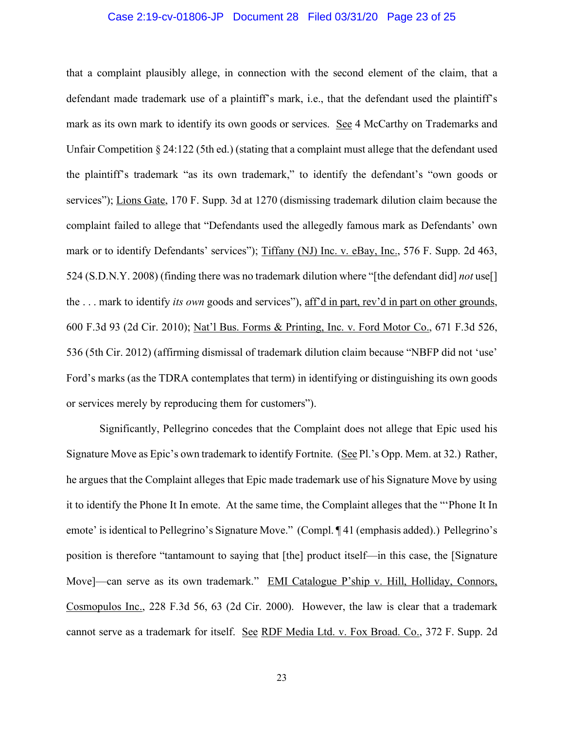### Case 2:19-cv-01806-JP Document 28 Filed 03/31/20 Page 23 of 25

that a complaint plausibly allege, in connection with the second element of the claim, that a defendant made trademark use of a plaintiff's mark, i.e., that the defendant used the plaintiff's mark as its own mark to identify its own goods or services. See 4 McCarthy on Trademarks and Unfair Competition § 24:122 (5th ed.) (stating that a complaint must allege that the defendant used the plaintiff's trademark "as its own trademark," to identify the defendant's "own goods or services"); Lions Gate, 170 F. Supp. 3d at 1270 (dismissing trademark dilution claim because the complaint failed to allege that "Defendants used the allegedly famous mark as Defendants' own mark or to identify Defendants' services"); Tiffany (NJ) Inc. v. eBay, Inc., 576 F. Supp. 2d 463, 524 (S.D.N.Y. 2008) (finding there was no trademark dilution where "[the defendant did] *not* use[] the . . . mark to identify *its own* goods and services"), aff'd in part, rev'd in part on other grounds, 600 F.3d 93 (2d Cir. 2010); Nat'l Bus. Forms & Printing, Inc. v. Ford Motor Co., 671 F.3d 526, 536 (5th Cir. 2012) (affirming dismissal of trademark dilution claim because "NBFP did not 'use' Ford's marks (as the TDRA contemplates that term) in identifying or distinguishing its own goods or services merely by reproducing them for customers").

Significantly, Pellegrino concedes that the Complaint does not allege that Epic used his Signature Move as Epic's own trademark to identify Fortnite. (See Pl.'s Opp. Mem. at 32.) Rather, he argues that the Complaint alleges that Epic made trademark use of his Signature Move by using it to identify the Phone It In emote. At the same time, the Complaint alleges that the "'Phone It In emote' is identical to Pellegrino's Signature Move." (Compl. ¶ 41 (emphasis added).) Pellegrino's position is therefore "tantamount to saying that [the] product itself—in this case, the [Signature Move]—can serve as its own trademark." EMI Catalogue P'ship v. Hill, Holliday, Connors, Cosmopulos Inc., 228 F.3d 56, 63 (2d Cir. 2000). However, the law is clear that a trademark cannot serve as a trademark for itself. See RDF Media Ltd. v. Fox Broad. Co., 372 F. Supp. 2d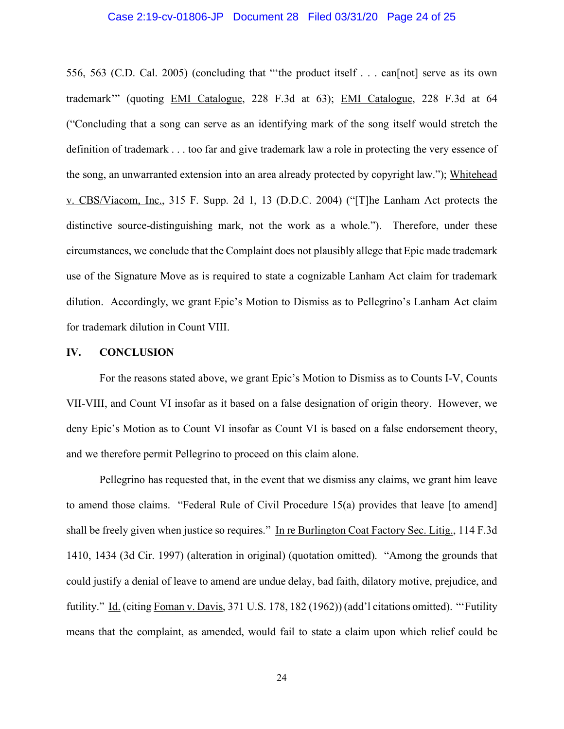#### Case 2:19-cv-01806-JP Document 28 Filed 03/31/20 Page 24 of 25

556, 563 (C.D. Cal. 2005) (concluding that "'the product itself . . . can[not] serve as its own trademark'" (quoting EMI Catalogue, 228 F.3d at 63); EMI Catalogue, 228 F.3d at 64 ("Concluding that a song can serve as an identifying mark of the song itself would stretch the definition of trademark . . . too far and give trademark law a role in protecting the very essence of the song, an unwarranted extension into an area already protected by copyright law."); Whitehead v. CBS/Viacom, Inc., 315 F. Supp. 2d 1, 13 (D.D.C. 2004) ("[T]he Lanham Act protects the distinctive source-distinguishing mark, not the work as a whole."). Therefore, under these circumstances, we conclude that the Complaint does not plausibly allege that Epic made trademark use of the Signature Move as is required to state a cognizable Lanham Act claim for trademark dilution. Accordingly, we grant Epic's Motion to Dismiss as to Pellegrino's Lanham Act claim for trademark dilution in Count VIII.

#### **IV. CONCLUSION**

For the reasons stated above, we grant Epic's Motion to Dismiss as to Counts I-V, Counts VII-VIII, and Count VI insofar as it based on a false designation of origin theory. However, we deny Epic's Motion as to Count VI insofar as Count VI is based on a false endorsement theory, and we therefore permit Pellegrino to proceed on this claim alone.

Pellegrino has requested that, in the event that we dismiss any claims, we grant him leave to amend those claims. "Federal Rule of Civil Procedure 15(a) provides that leave [to amend] shall be freely given when justice so requires." In re Burlington Coat Factory Sec. Litig., 114 F.3d 1410, 1434 (3d Cir. 1997) (alteration in original) (quotation omitted). "Among the grounds that could justify a denial of leave to amend are undue delay, bad faith, dilatory motive, prejudice, and futility." Id. (citing Foman v. Davis, 371 U.S. 178, 182 (1962)) (add'l citations omitted). "'Futility means that the complaint, as amended, would fail to state a claim upon which relief could be